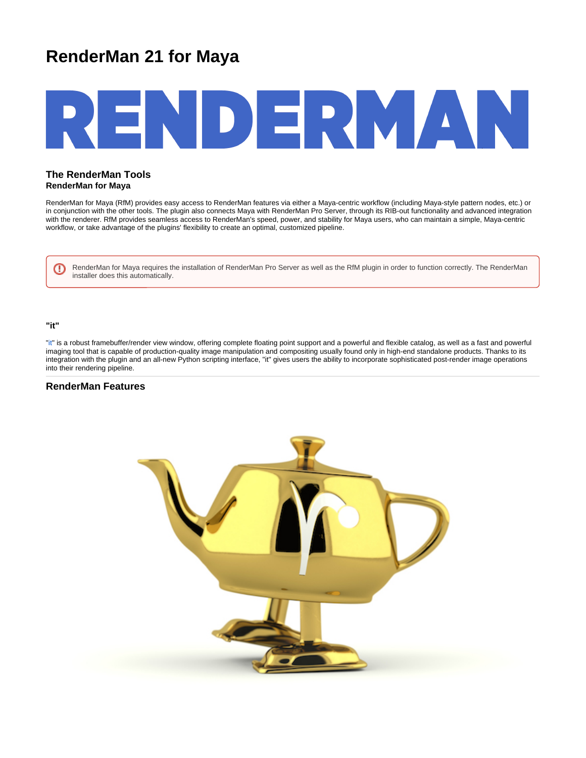# **RenderMan 21 for Maya**



# **The RenderMan Tools RenderMan for Maya**

RenderMan for Maya (RfM) provides easy access to RenderMan features via either a Maya-centric workflow (including Maya-style pattern nodes, etc.) or in conjunction with the other tools. The plugin also connects Maya with RenderMan Pro Server, through its RIB-out functionality and advanced integration with the renderer. RfM provides seamless access to RenderMan's speed, power, and stability for Maya users, who can maintain a simple, Maya-centric workflow, or take advantage of the plugins' flexibility to create an optimal, customized pipeline.

RenderMan for Maya requires the installation of RenderMan Pro Server as well as the RfM plugin in order to function correctly. The RenderMan installer does this automatically.

## **"it"**

➀

"[it](https://rmanwiki.pixar.com/display/REN/Image+Tool)" is a robust framebuffer/render view window, offering complete floating point support and a powerful and flexible catalog, as well as a fast and powerful imaging tool that is capable of production-quality image manipulation and compositing usually found only in high-end standalone products. Thanks to its integration with the plugin and an all-new Python scripting interface, "it" gives users the ability to incorporate sophisticated post-render image operations into their rendering pipeline.

# **RenderMan Features**

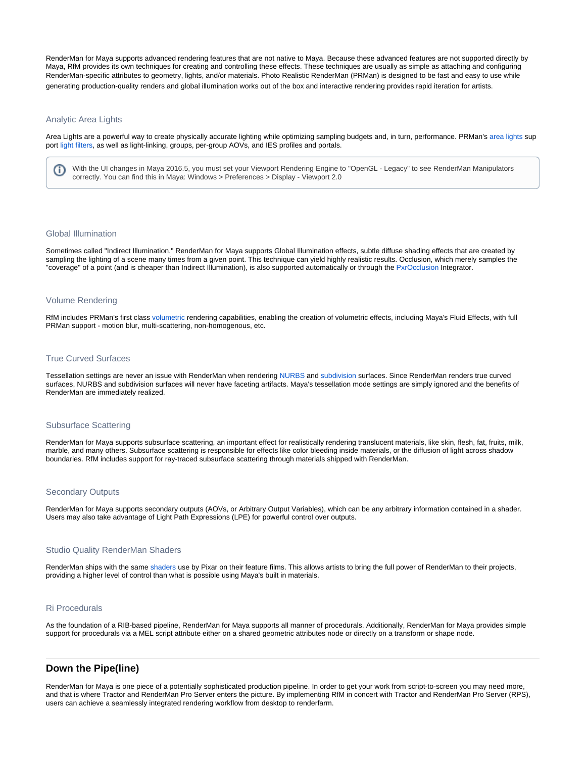RenderMan for Maya supports advanced rendering features that are not native to Maya. Because these advanced features are not supported directly by Maya, RfM provides its own techniques for creating and controlling these effects. These techniques are usually as simple as attaching and configuring RenderMan-specific attributes to geometry, lights, and/or materials. Photo Realistic RenderMan (PRMan) is designed to be fast and easy to use while generating production-quality renders and global illumination works out of the box and interactive rendering provides rapid iteration for artists.

# Analytic Area Lights

O

Area Lights are a powerful way to create physically accurate lighting while optimizing sampling budgets and, in turn, performance. PRMan's [area lights](https://rmanwiki.pixar.com/display/REN/Lighting) sup port [light filters,](https://rmanwiki.pixar.com/display/REN/Light+Filters) as well as light-linking, groups, per-group AOVs, and IES profiles and portals.

With the UI changes in Maya 2016.5, you must set your Viewport Rendering Engine to "OpenGL - Legacy" to see RenderMan Manipulators correctly. You can find this in Maya: Windows > Preferences > Display - Viewport 2.0

#### Global Illumination

Sometimes called "Indirect Illumination," RenderMan for Maya supports Global Illumination effects, subtle diffuse shading effects that are created by sampling the lighting of a scene many times from a given point. This technique can yield highly realistic results. Occlusion, which merely samples the "coverage" of a point (and is cheaper than Indirect Illumination), is also supported automatically or through the [PxrOcclusion](https://rmanwiki.pixar.com/display/REN/PxrOcclusion) Integrator.

## Volume Rendering

RfM includes PRMan's first class [volumetric](https://rmanwiki.pixar.com/display/REN/PxrVolume) rendering capabilities, enabling the creation of volumetric effects, including Maya's Fluid Effects, with full PRMan support - motion blur, multi-scattering, non-homogenous, etc.

# True Curved Surfaces

Tessellation settings are never an issue with RenderMan when rendering [NURBS](https://rmanwiki.pixar.com/display/REN/NURBS) and [subdivision](https://rmanwiki.pixar.com/display/REN/Subdivision+Surfaces) surfaces. Since RenderMan renders true curved surfaces, NURBS and subdivision surfaces will never have faceting artifacts. Maya's tessellation mode settings are simply ignored and the benefits of RenderMan are immediately realized.

#### Subsurface Scattering

RenderMan for Maya supports subsurface scattering, an important effect for realistically rendering translucent materials, like skin, flesh, fat, fruits, milk, marble, and many others. Subsurface scattering is responsible for effects like color bleeding inside materials, or the diffusion of light across shadow boundaries. RfM includes support for ray-traced subsurface scattering through materials shipped with RenderMan.

#### Secondary Outputs

RenderMan for Maya supports secondary outputs (AOVs, or Arbitrary Output Variables), which can be any arbitrary information contained in a shader. Users may also take advantage of Light Path Expressions (LPE) for powerful control over outputs.

#### Studio Quality RenderMan Shaders

RenderMan ships with the same [shaders](https://rmanwiki.pixar.com/display/REN/PxrSurface) use by Pixar on their feature films. This allows artists to bring the full power of RenderMan to their projects, providing a higher level of control than what is possible using Maya's built in materials.

#### Ri Procedurals

As the foundation of a RIB-based pipeline, RenderMan for Maya supports all manner of procedurals. Additionally, RenderMan for Maya provides simple support for procedurals via a MEL script attribute either on a shared geometric attributes node or directly on a transform or shape node.

# **Down the Pipe(line)**

RenderMan for Maya is one piece of a potentially sophisticated production pipeline. In order to get your work from script-to-screen you may need more, and that is where Tractor and RenderMan Pro Server enters the picture. By implementing RfM in concert with Tractor and RenderMan Pro Server (RPS), users can achieve a seamlessly integrated rendering workflow from desktop to renderfarm.